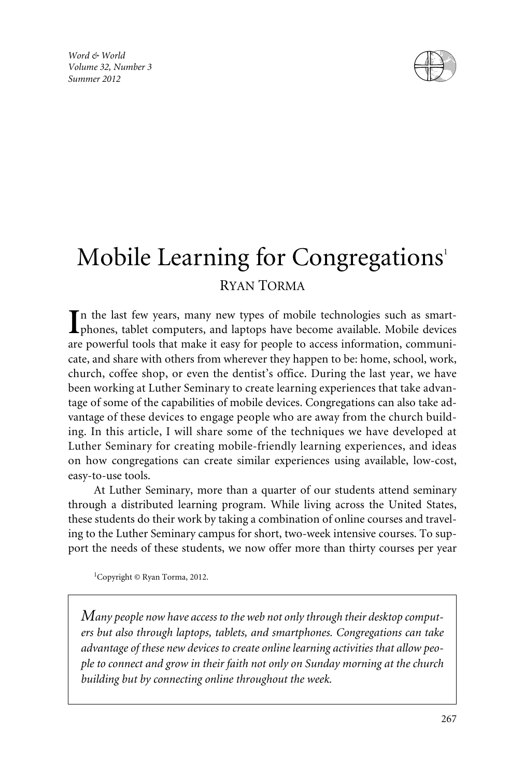*Word & World Volume 32, Number 3 Summer 2012*



# Mobile Learning for Congregations<sup>1</sup> RYAN TORMA

In the last few years, many new types of mobile technologies such as smart-<br>phones, tablet computers, and laptops have become available. Mobile devices phones, tablet computers, and laptops have become available. Mobile devices are powerful tools that make it easy for people to access information, communicate, and share with others from wherever they happen to be: home, school, work, church, coffee shop, or even the dentist's office. During the last year, we have been working at Luther Seminary to create learning experiences that take advantage of some of the capabilities of mobile devices. Congregations can also take advantage of these devices to engage people who are away from the church building. In this article, I will share some of the techniques we have developed at Luther Seminary for creating mobile-friendly learning experiences, and ideas on how congregations can create similar experiences using available, low-cost, easy-to-use tools.

At Luther Seminary, more than a quarter of our students attend seminary through a distributed learning program. While living across the United States, these students do their work by taking a combination of online courses and traveling to the Luther Seminary campus for short, two-week intensive courses. To support the needs of these students, we now offer more than thirty courses per year

1 Copyright © Ryan Torma, 2012.

*Many people now have access to the web not only through their desktop computers but also through laptops, tablets, and smartphones. Congregations can take advantage of these new devices to create online learning activities that allow people to connect and grow in their faith not only on Sunday morning at the church building but by connecting online throughout the week.*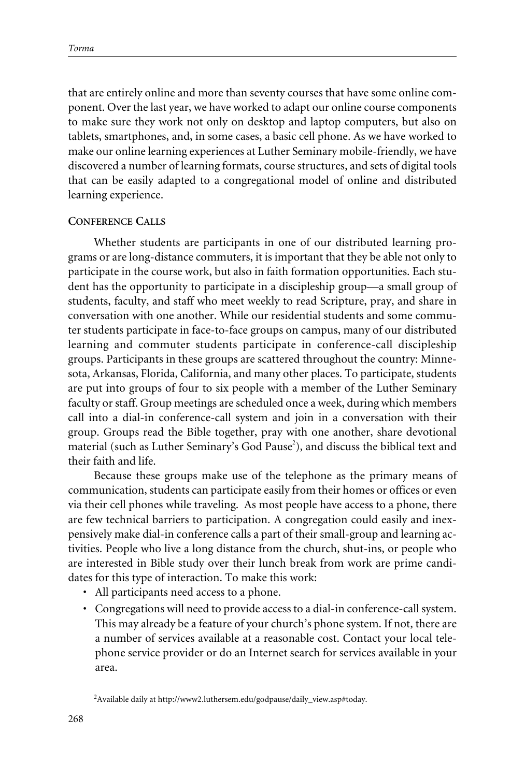that are entirely online and more than seventy courses that have some online component. Over the last year, we have worked to adapt our online course components to make sure they work not only on desktop and laptop computers, but also on tablets, smartphones, and, in some cases, a basic cell phone. As we have worked to make our online learning experiences at Luther Seminary mobile-friendly, we have discovered a number of learning formats, course structures, and sets of digital tools that can be easily adapted to a congregational model of online and distributed learning experience.

# **CONFERENCE CALLS**

Whether students are participants in one of our distributed learning programs or are long-distance commuters, it is important that they be able not only to participate in the course work, but also in faith formation opportunities. Each student has the opportunity to participate in a discipleship group—a small group of students, faculty, and staff who meet weekly to read Scripture, pray, and share in conversation with one another. While our residential students and some commuter students participate in face-to-face groups on campus, many of our distributed learning and commuter students participate in conference-call discipleship groups. Participants in these groups are scattered throughout the country: Minnesota, Arkansas, Florida, California, and many other places. To participate, students are put into groups of four to six people with a member of the Luther Seminary faculty or staff. Group meetings are scheduled once a week, during which members call into a dial-in conference-call system and join in a conversation with their group. Groups read the Bible together, pray with one another, share devotional material (such as Luther Seminary's God Pause<sup>2</sup>), and discuss the biblical text and their faith and life.

Because these groups make use of the telephone as the primary means of communication, students can participate easily from their homes or offices or even via their cell phones while traveling. As most people have access to a phone, there are few technical barriers to participation. A congregation could easily and inexpensively make dial-in conference calls a part of their small-group and learning activities. People who live a long distance from the church, shut-ins, or people who are interested in Bible study over their lunch break from work are prime candidates for this type of interaction. To make this work:

- All participants need access to a phone.
- Congregations will need to provide access to a dial-in conference-call system. This may already be a feature of your church's phone system. If not, there are a number of services available at a reasonable cost. Contact your local telephone service provider or do an Internet search for services available in your area.

<sup>&</sup>lt;sup>2</sup> Available daily at http://www2.luthersem.edu/godpause/daily\_view.asp#today.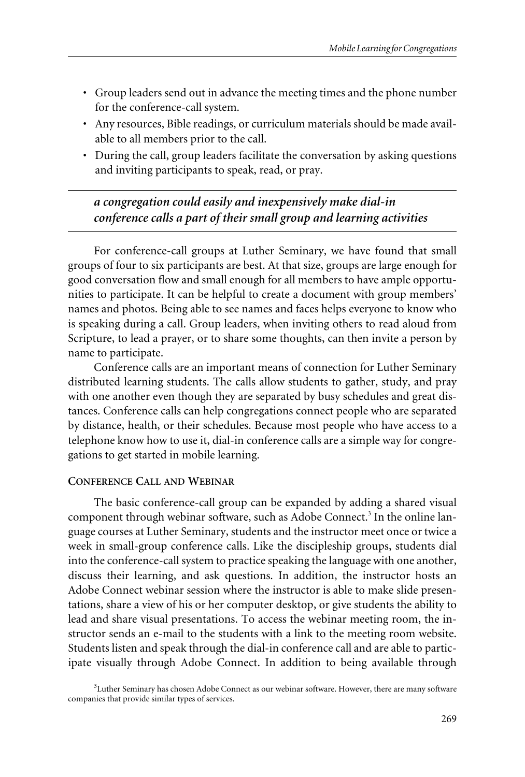- Group leaders send out in advance the meeting times and the phone number for the conference-call system.
- Any resources, Bible readings, or curriculum materials should be made available to all members prior to the call.
- During the call, group leaders facilitate the conversation by asking questions and inviting participants to speak, read, or pray.

*a congregation could easily and inexpensively make dial-in conference calls a part of their small group and learning activities*

For conference-call groups at Luther Seminary, we have found that small groups of four to six participants are best. At that size, groups are large enough for good conversation flow and small enough for all members to have ample opportunities to participate. It can be helpful to create a document with group members' names and photos. Being able to see names and faces helps everyone to know who is speaking during a call. Group leaders, when inviting others to read aloud from Scripture, to lead a prayer, or to share some thoughts, can then invite a person by name to participate.

Conference calls are an important means of connection for Luther Seminary distributed learning students. The calls allow students to gather, study, and pray with one another even though they are separated by busy schedules and great distances. Conference calls can help congregations connect people who are separated by distance, health, or their schedules. Because most people who have access to a telephone know how to use it, dial-in conference calls are a simple way for congregations to get started in mobile learning.

# **CONFERENCE CALL AND WEBINAR**

The basic conference-call group can be expanded by adding a shared visual component through webinar software, such as Adobe Connect.<sup>3</sup> In the online language courses at Luther Seminary, students and the instructor meet once or twice a week in small-group conference calls. Like the discipleship groups, students dial into the conference-call system to practice speaking the language with one another, discuss their learning, and ask questions. In addition, the instructor hosts an Adobe Connect webinar session where the instructor is able to make slide presentations, share a view of his or her computer desktop, or give students the ability to lead and share visual presentations. To access the webinar meeting room, the instructor sends an e-mail to the students with a link to the meeting room website. Students listen and speak through the dial-in conference call and are able to participate visually through Adobe Connect. In addition to being available through

<sup>&</sup>lt;sup>3</sup>Luther Seminary has chosen Adobe Connect as our webinar software. However, there are many software companies that provide similar types of services.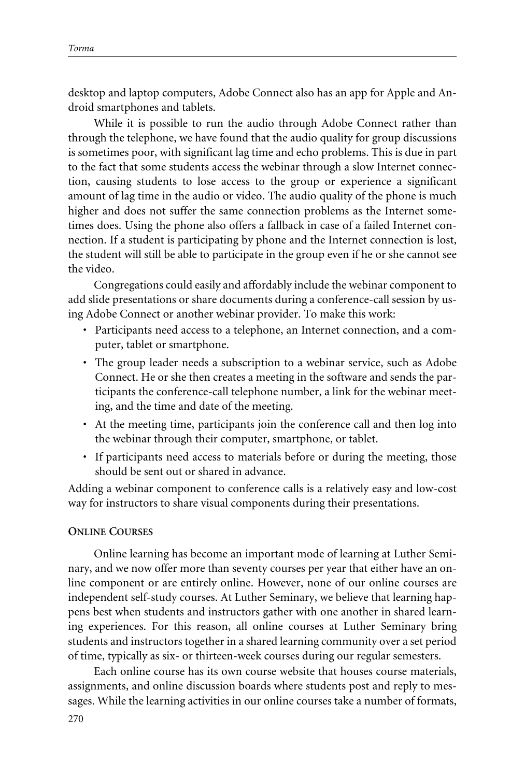desktop and laptop computers, Adobe Connect also has an app for Apple and Android smartphones and tablets.

While it is possible to run the audio through Adobe Connect rather than through the telephone, we have found that the audio quality for group discussions is sometimes poor, with significant lag time and echo problems. This is due in part to the fact that some students access the webinar through a slow Internet connection, causing students to lose access to the group or experience a significant amount of lag time in the audio or video. The audio quality of the phone is much higher and does not suffer the same connection problems as the Internet sometimes does. Using the phone also offers a fallback in case of a failed Internet connection. If a student is participating by phone and the Internet connection is lost, the student will still be able to participate in the group even if he or she cannot see the video.

Congregations could easily and affordably include the webinar component to add slide presentations or share documents during a conference-call session by using Adobe Connect or another webinar provider. To make this work:

- Participants need access to a telephone, an Internet connection, and a computer, tablet or smartphone.
- The group leader needs a subscription to a webinar service, such as Adobe Connect. He or she then creates a meeting in the software and sends the participants the conference-call telephone number, a link for the webinar meeting, and the time and date of the meeting.
- At the meeting time, participants join the conference call and then log into the webinar through their computer, smartphone, or tablet.
- If participants need access to materials before or during the meeting, those should be sent out or shared in advance.

Adding a webinar component to conference calls is a relatively easy and low-cost way for instructors to share visual components during their presentations.

#### **ONLINE COURSES**

Online learning has become an important mode of learning at Luther Seminary, and we now offer more than seventy courses per year that either have an online component or are entirely online. However, none of our online courses are independent self-study courses. At Luther Seminary, we believe that learning happens best when students and instructors gather with one another in shared learning experiences. For this reason, all online courses at Luther Seminary bring students and instructors together in a shared learning community over a set period of time, typically as six- or thirteen-week courses during our regular semesters.

Each online course has its own course website that houses course materials, assignments, and online discussion boards where students post and reply to messages. While the learning activities in our online courses take a number of formats,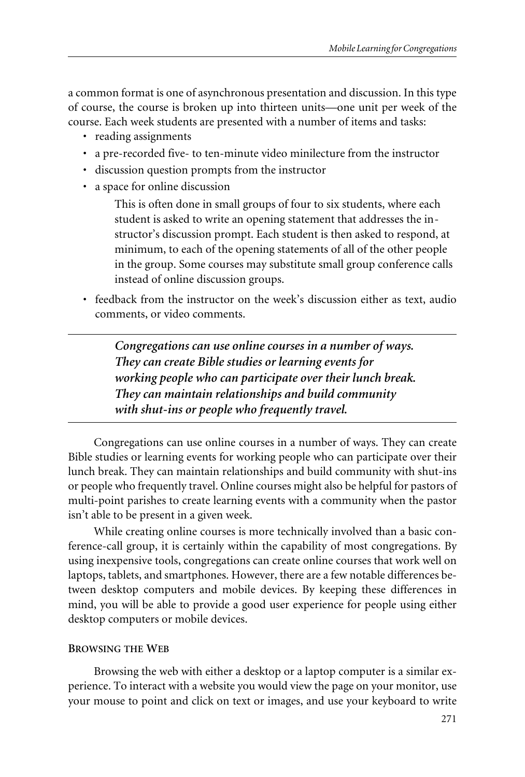a common format is one of asynchronous presentation and discussion. In this type of course, the course is broken up into thirteen units—one unit per week of the course. Each week students are presented with a number of items and tasks:

- reading assignments
- a pre-recorded five- to ten-minute video minilecture from the instructor
- discussion question prompts from the instructor
- a space for online discussion

This is often done in small groups of four to six students, where each student is asked to write an opening statement that addresses the instructor's discussion prompt. Each student is then asked to respond, at minimum, to each of the opening statements of all of the other people in the group. Some courses may substitute small group conference calls instead of online discussion groups.

• feedback from the instructor on the week's discussion either as text, audio comments, or video comments.

*Congregations can use online courses in a number of ways. They can create Bible studies or learning events for working people who can participate over their lunch break. They can maintain relationships and build community with shut-ins or people who frequently travel.*

Congregations can use online courses in a number of ways. They can create Bible studies or learning events for working people who can participate over their lunch break. They can maintain relationships and build community with shut-ins or people who frequently travel. Online courses might also be helpful for pastors of multi-point parishes to create learning events with a community when the pastor isn't able to be present in a given week.

While creating online courses is more technically involved than a basic conference-call group, it is certainly within the capability of most congregations. By using inexpensive tools, congregations can create online courses that work well on laptops, tablets, and smartphones. However, there are a few notable differences between desktop computers and mobile devices. By keeping these differences in mind, you will be able to provide a good user experience for people using either desktop computers or mobile devices.

#### **BROWSING THE WEB**

Browsing the web with either a desktop or a laptop computer is a similar experience. To interact with a website you would view the page on your monitor, use your mouse to point and click on text or images, and use your keyboard to write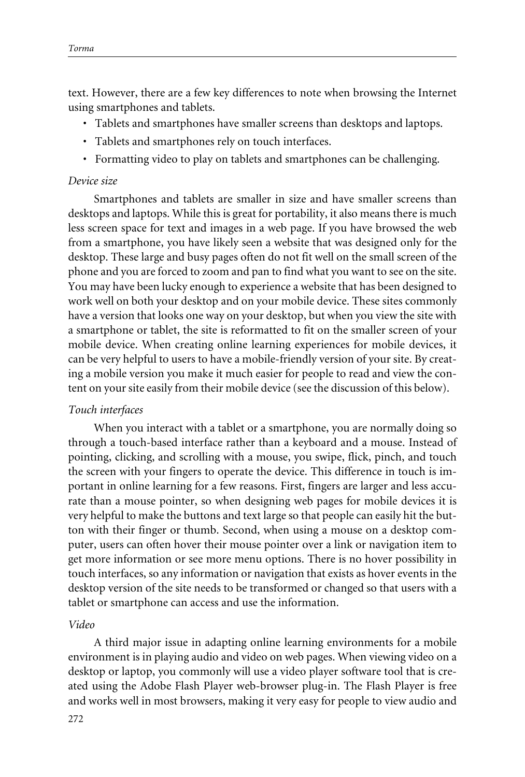text. However, there are a few key differences to note when browsing the Internet using smartphones and tablets.

- Tablets and smartphones have smaller screens than desktops and laptops.
- Tablets and smartphones rely on touch interfaces.
- Formatting video to play on tablets and smartphones can be challenging.

#### *Device size*

Smartphones and tablets are smaller in size and have smaller screens than desktops and laptops. While this is great for portability, it also means there is much less screen space for text and images in a web page. If you have browsed the web from a smartphone, you have likely seen a website that was designed only for the desktop. These large and busy pages often do not fit well on the small screen of the phone and you are forced to zoom and pan to find what you want to see on the site. You may have been lucky enough to experience a website that has been designed to work well on both your desktop and on your mobile device. These sites commonly have a version that looks one way on your desktop, but when you view the site with a smartphone or tablet, the site is reformatted to fit on the smaller screen of your mobile device. When creating online learning experiences for mobile devices, it can be very helpful to users to have a mobile-friendly version of your site. By creating a mobile version you make it much easier for people to read and view the content on your site easily from their mobile device (see the discussion of this below).

#### *Touch interfaces*

When you interact with a tablet or a smartphone, you are normally doing so through a touch-based interface rather than a keyboard and a mouse. Instead of pointing, clicking, and scrolling with a mouse, you swipe, flick, pinch, and touch the screen with your fingers to operate the device. This difference in touch is important in online learning for a few reasons. First, fingers are larger and less accurate than a mouse pointer, so when designing web pages for mobile devices it is very helpful to make the buttons and text large so that people can easily hit the button with their finger or thumb. Second, when using a mouse on a desktop computer, users can often hover their mouse pointer over a link or navigation item to get more information or see more menu options. There is no hover possibility in touch interfaces, so any information or navigation that exists as hover events in the desktop version of the site needs to be transformed or changed so that users with a tablet or smartphone can access and use the information.

#### *Video*

A third major issue in adapting online learning environments for a mobile environment is in playing audio and video on web pages. When viewing video on a desktop or laptop, you commonly will use a video player software tool that is created using the Adobe Flash Player web-browser plug-in. The Flash Player is free and works well in most browsers, making it very easy for people to view audio and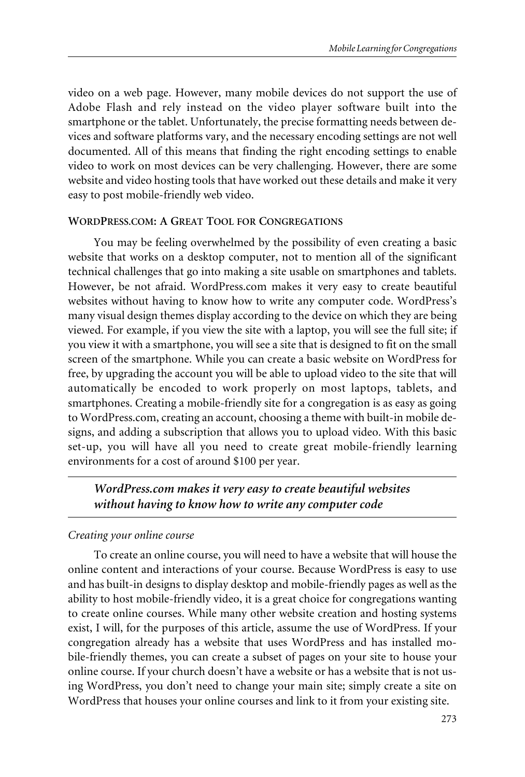video on a web page. However, many mobile devices do not support the use of Adobe Flash and rely instead on the video player software built into the smartphone or the tablet. Unfortunately, the precise formatting needs between devices and software platforms vary, and the necessary encoding settings are not well documented. All of this means that finding the right encoding settings to enable video to work on most devices can be very challenging. However, there are some website and video hosting tools that have worked out these details and make it very easy to post mobile-friendly web video.

#### **WORDPRESS.COM:AGREAT TOOL FOR CONGREGATIONS**

You may be feeling overwhelmed by the possibility of even creating a basic website that works on a desktop computer, not to mention all of the significant technical challenges that go into making a site usable on smartphones and tablets. However, be not afraid. WordPress.com makes it very easy to create beautiful websites without having to know how to write any computer code. WordPress's many visual design themes display according to the device on which they are being viewed. For example, if you view the site with a laptop, you will see the full site; if you view it with a smartphone, you will see a site that is designed to fit on the small screen of the smartphone. While you can create a basic website on WordPress for free, by upgrading the account you will be able to upload video to the site that will automatically be encoded to work properly on most laptops, tablets, and smartphones. Creating a mobile-friendly site for a congregation is as easy as going to WordPress.com, creating an account, choosing a theme with built-in mobile designs, and adding a subscription that allows you to upload video. With this basic set-up, you will have all you need to create great mobile-friendly learning environments for a cost of around \$100 per year.

# *WordPress.com makes it very easy to create beautiful websites without having to know how to write any computer code*

#### *Creating your online course*

To create an online course, you will need to have a website that will house the online content and interactions of your course. Because WordPress is easy to use and has built-in designs to display desktop and mobile-friendly pages as well as the ability to host mobile-friendly video, it is a great choice for congregations wanting to create online courses. While many other website creation and hosting systems exist, I will, for the purposes of this article, assume the use of WordPress. If your congregation already has a website that uses WordPress and has installed mobile-friendly themes, you can create a subset of pages on your site to house your online course. If your church doesn't have a website or has a website that is not using WordPress, you don't need to change your main site; simply create a site on WordPress that houses your online courses and link to it from your existing site.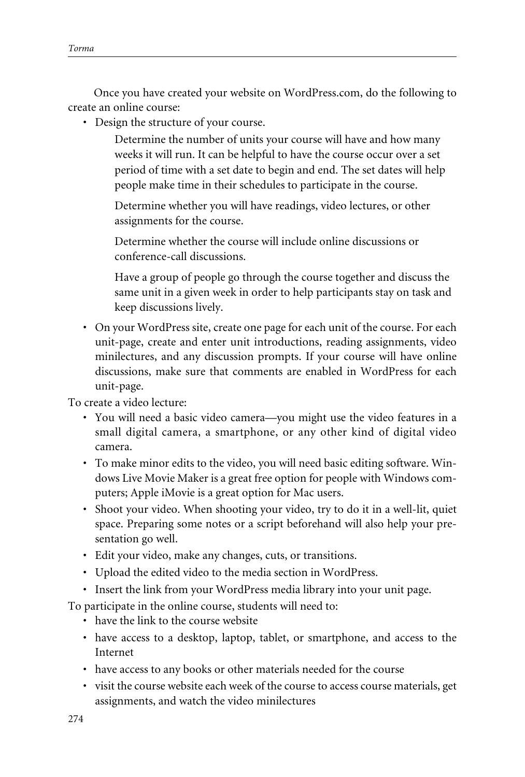Once you have created your website on WordPress.com, do the following to create an online course:

• Design the structure of your course.

Determine the number of units your course will have and how many weeks it will run. It can be helpful to have the course occur over a set period of time with a set date to begin and end. The set dates will help people make time in their schedules to participate in the course.

Determine whether you will have readings, video lectures, or other assignments for the course.

Determine whether the course will include online discussions or conference-call discussions.

Have a group of people go through the course together and discuss the same unit in a given week in order to help participants stay on task and keep discussions lively.

• On your WordPress site, create one page for each unit of the course. For each unit-page, create and enter unit introductions, reading assignments, video minilectures, and any discussion prompts. If your course will have online discussions, make sure that comments are enabled in WordPress for each unit-page.

To create a video lecture:

- You will need a basic video camera—you might use the video features in a small digital camera, a smartphone, or any other kind of digital video camera.
- To make minor edits to the video, you will need basic editing software. Windows Live Movie Maker is a great free option for people with Windows computers; Apple iMovie is a great option for Mac users.
- Shoot your video. When shooting your video, try to do it in a well-lit, quiet space. Preparing some notes or a script beforehand will also help your presentation go well.
- Edit your video, make any changes, cuts, or transitions.
- Upload the edited video to the media section in WordPress.
- Insert the link from your WordPress media library into your unit page.

To participate in the online course, students will need to:

- have the link to the course website
- have access to a desktop, laptop, tablet, or smartphone, and access to the Internet
- have access to any books or other materials needed for the course
- visit the course website each week of the course to access course materials, get assignments, and watch the video minilectures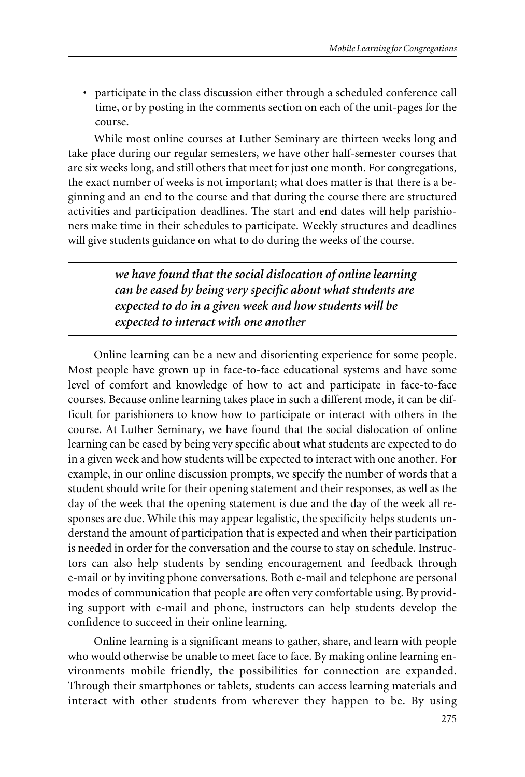• participate in the class discussion either through a scheduled conference call time, or by posting in the comments section on each of the unit-pages for the course.

While most online courses at Luther Seminary are thirteen weeks long and take place during our regular semesters, we have other half-semester courses that are six weeks long, and still others that meet for just one month. For congregations, the exact number of weeks is not important; what does matter is that there is a beginning and an end to the course and that during the course there are structured activities and participation deadlines. The start and end dates will help parishioners make time in their schedules to participate. Weekly structures and deadlines will give students guidance on what to do during the weeks of the course.

> *we have found that the social dislocation of online learning can be eased by being very specific about what students are expected to do in a given week and how students will be expected to interact with one another*

Online learning can be a new and disorienting experience for some people. Most people have grown up in face-to-face educational systems and have some level of comfort and knowledge of how to act and participate in face-to-face courses. Because online learning takes place in such a different mode, it can be difficult for parishioners to know how to participate or interact with others in the course. At Luther Seminary, we have found that the social dislocation of online learning can be eased by being very specific about what students are expected to do in a given week and how students will be expected to interact with one another. For example, in our online discussion prompts, we specify the number of words that a student should write for their opening statement and their responses, as well as the day of the week that the opening statement is due and the day of the week all responses are due. While this may appear legalistic, the specificity helps students understand the amount of participation that is expected and when their participation is needed in order for the conversation and the course to stay on schedule. Instructors can also help students by sending encouragement and feedback through e-mail or by inviting phone conversations. Both e-mail and telephone are personal modes of communication that people are often very comfortable using. By providing support with e-mail and phone, instructors can help students develop the confidence to succeed in their online learning.

Online learning is a significant means to gather, share, and learn with people who would otherwise be unable to meet face to face. By making online learning environments mobile friendly, the possibilities for connection are expanded. Through their smartphones or tablets, students can access learning materials and interact with other students from wherever they happen to be. By using